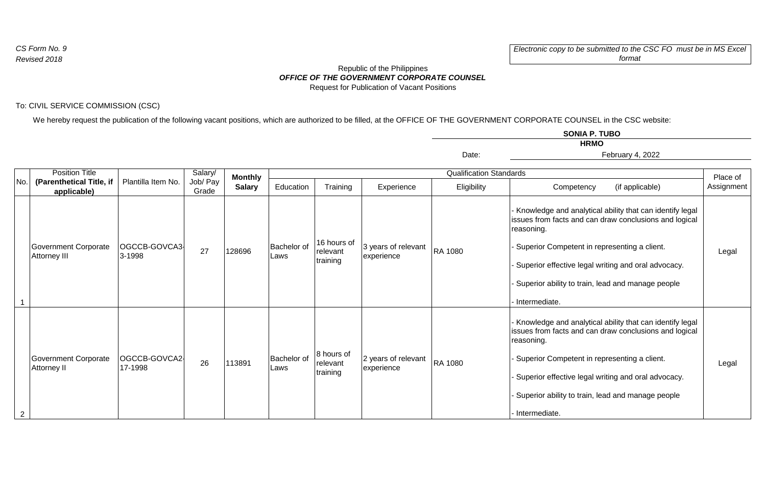**HRMO SONIA P. TUBO**

## *OFFICE OF THE GOVERNMENT CORPORATE COUNSEL* Republic of the Philippines Request for Publication of Vacant Positions

## To: CIVIL SERVICE COMMISSION (CSC)

We hereby request the publication of the following vacant positions, which are authorized to be filled, at the OFFICE OF THE GOVERNMENT CORPORATE COUNSEL in the CSC website:

|                |                                                                  |                          |                              |                                 |                                |                                     |                                   | Date:       | February 4, 2022                                                                                                                                                                                                                                                                                              |                        |
|----------------|------------------------------------------------------------------|--------------------------|------------------------------|---------------------------------|--------------------------------|-------------------------------------|-----------------------------------|-------------|---------------------------------------------------------------------------------------------------------------------------------------------------------------------------------------------------------------------------------------------------------------------------------------------------------------|------------------------|
|                | <b>Position Title</b><br>(Parenthetical Title, if<br>applicable) | Plantilla Item No.       | Salary/<br>Job/ Pay<br>Grade | <b>Monthly</b><br><b>Salary</b> | <b>Qualification Standards</b> |                                     |                                   |             |                                                                                                                                                                                                                                                                                                               |                        |
| No.            |                                                                  |                          |                              |                                 | Education                      | Training                            | Experience                        | Eligibility | (if applicable)<br>Competency                                                                                                                                                                                                                                                                                 | Place of<br>Assignment |
|                | Government Corporate<br>Attorney III                             | OGCCB-GOVCA3<br>3-1998   | 27                           | 128696                          | <b>Bachelor</b> of<br>Laws     | 16 hours of<br>relevant<br>training | 3 years of relevant<br>experience | RA 1080     | Knowledge and analytical ability that can identify legal<br>issues from facts and can draw conclusions and logical<br>reasoning.<br>Superior Competent in representing a client.<br>Superior effective legal writing and oral advocacy.<br>Superior ability to train, lead and manage people<br>Intermediate. | Legal                  |
| $\overline{2}$ | Government Corporate<br><b>Attorney II</b>                       | OGCCB-GOVCA2-<br>17-1998 | 26                           | 113891                          | <b>Bachelor</b> of<br>Laws     | 8 hours of<br>relevant<br>training  | 2 years of relevant<br>experience | RA 1080     | Knowledge and analytical ability that can identify legal<br>issues from facts and can draw conclusions and logical<br>reasoning.<br>Superior Competent in representing a client.<br>Superior effective legal writing and oral advocacy.<br>Superior ability to train, lead and manage people<br>Intermediate. | Legal                  |